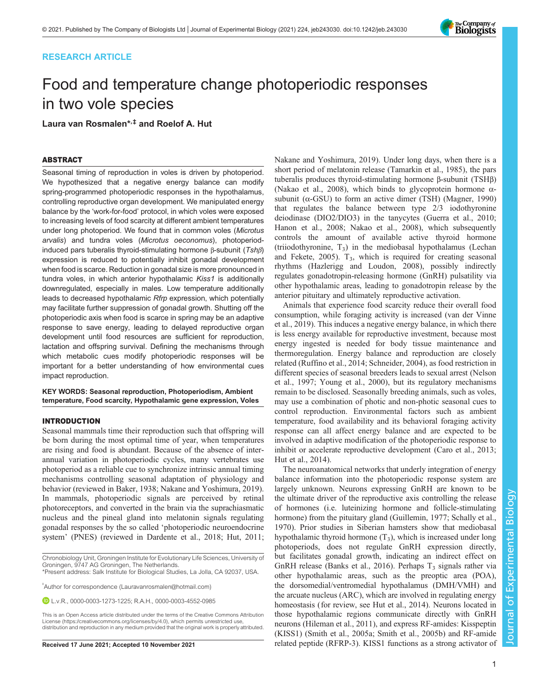# RESEARCH ARTICLE

# Food and temperature change photoperiodic responses in two vole species

Laura van Rosmalen\*,‡ and Roelof A. Hut

# ABSTRACT

Seasonal timing of reproduction in voles is driven by photoperiod. We hypothesized that a negative energy balance can modify spring-programmed photoperiodic responses in the hypothalamus, controlling reproductive organ development. We manipulated energy balance by the 'work-for-food' protocol, in which voles were exposed to increasing levels of food scarcity at different ambient temperatures under long photoperiod. We found that in common voles (Microtus arvalis) and tundra voles (Microtus oeconomus), photoperiodinduced pars tuberalis thyroid-stimulating hormone β-subunit (Tshβ) expression is reduced to potentially inhibit gonadal development when food is scarce. Reduction in gonadal size is more pronounced in tundra voles, in which anterior hypothalamic Kiss1 is additionally downregulated, especially in males. Low temperature additionally leads to decreased hypothalamic Rfrp expression, which potentially may facilitate further suppression of gonadal growth. Shutting off the photoperiodic axis when food is scarce in spring may be an adaptive response to save energy, leading to delayed reproductive organ development until food resources are sufficient for reproduction, lactation and offspring survival. Defining the mechanisms through which metabolic cues modify photoperiodic responses will be important for a better understanding of how environmental cues impact reproduction.

KEY WORDS: Seasonal reproduction, Photoperiodism, Ambient temperature, Food scarcity, Hypothalamic gene expression, Voles

### INTRODUCTION

Seasonal mammals time their reproduction such that offspring will be born during the most optimal time of year, when temperatures are rising and food is abundant. Because of the absence of interannual variation in photoperiodic cycles, many vertebrates use photoperiod as a reliable cue to synchronize intrinsic annual timing mechanisms controlling seasonal adaptation of physiology and behavior (reviewed in [Baker, 1938;](#page-7-0) [Nakane and Yoshimura, 2019\)](#page-8-0). In mammals, photoperiodic signals are perceived by retinal photoreceptors, and converted in the brain via the suprachiasmatic nucleus and the pineal gland into melatonin signals regulating gonadal responses by the so called 'photoperiodic neuroendocrine system' (PNES) (reviewed in [Dardente et al., 2018;](#page-7-0) [Hut, 2011](#page-8-0);

Chronobiology Unit, Groningen Institute for Evolutionary Life Sciences, University of Groningen, 9747 AG Groningen, The Netherlands.

‡ Author for correspondence ([Lauravanrosmalen@hotmail.com](mailto:Lauravanrosmalen@hotmail.com))

L.v.R., [0000-0003-1273-1225;](http://orcid.org/0000-0003-1273-1225) R.A.H., [0000-0003-4552-0985](http://orcid.org/0000-0003-4552-0985)

This is an Open Access article distributed under the terms of the Creative Commons Attribution License (https://creativecommons.org/licenses/by/4.0), which permits unrestricted use, distribution and reproduction in any medium provided that the original work is properly attributed.

[Nakane and Yoshimura, 2019\)](#page-8-0). Under long days, when there is a short period of melatonin release [\(Tamarkin et al., 1985\)](#page-9-0), the pars tuberalis produces thyroid-stimulating hormone β-subunit (TSHβ) [\(Nakao et al., 2008\)](#page-8-0), which binds to glycoprotein hormone  $\alpha$ subunit ( $\alpha$ -GSU) to form an active dimer (TSH) ([Magner, 1990\)](#page-8-0) that regulates the balance between type 2/3 iodothyronine deiodinase (DIO2/DIO3) in the tanycytes [\(Guerra et al., 2010](#page-7-0); [Hanon et al., 2008](#page-7-0); [Nakao et al., 2008\)](#page-8-0), which subsequently controls the amount of available active thyroid hormone (triiodothyronine,  $T_3$ ) in the mediobasal hypothalamus [\(Lechan](#page-8-0) [and Fekete, 2005](#page-8-0)).  $T_3$ , which is required for creating seasonal rhythms [\(Hazlerigg and Loudon, 2008\)](#page-7-0), possibly indirectly regulates gonadotropin-releasing hormone (GnRH) pulsatility via other hypothalamic areas, leading to gonadotropin release by the anterior pituitary and ultimately reproductive activation.

Animals that experience food scarcity reduce their overall food consumption, while foraging activity is increased ([van der Vinne](#page-9-0) [et al., 2019](#page-9-0)). This induces a negative energy balance, in which there is less energy available for reproductive investment, because most energy ingested is needed for body tissue maintenance and thermoregulation. Energy balance and reproduction are closely related [\(Ruffino et al., 2014; Schneider, 2004](#page-8-0)), as food restriction in different species of seasonal breeders leads to sexual arrest [\(Nelson](#page-8-0) [et al., 1997;](#page-8-0) [Young et al., 2000\)](#page-9-0), but its regulatory mechanisms remain to be disclosed. Seasonally breeding animals, such as voles, may use a combination of photic and non-photic seasonal cues to control reproduction. Environmental factors such as ambient temperature, food availability and its behavioral foraging activity response can all affect energy balance and are expected to be involved in adaptive modification of the photoperiodic response to inhibit or accelerate reproductive development [\(Caro et al., 2013](#page-7-0); [Hut et al., 2014](#page-8-0)).

The neuroanatomical networks that underly integration of energy balance information into the photoperiodic response system are largely unknown. Neurons expressing GnRH are known to be the ultimate driver of the reproductive axis controlling the release of hormones (i.e. luteinizing hormone and follicle-stimulating hormone) from the pituitary gland [\(Guillemin, 1977;](#page-7-0) [Schally et al.,](#page-8-0) [1970\)](#page-8-0). Prior studies in Siberian hamsters show that mediobasal hypothalamic thyroid hormone  $(T_3)$ , which is increased under long photoperiods, does not regulate GnRH expression directly, but facilitates gonadal growth, indicating an indirect effect on GnRH release [\(Banks et al., 2016\)](#page-7-0). Perhaps  $T_3$  signals rather via other hypothalamic areas, such as the preoptic area (POA), the dorsomedial/ventromedial hypothalamus (DMH/VMH) and the arcuate nucleus (ARC), which are involved in regulating energy homeostasis (for review, see [Hut et al., 2014\)](#page-8-0). Neurons located in those hypothalamic regions communicate directly with GnRH neurons [\(Hileman et al., 2011\)](#page-8-0), and express RF-amides: Kisspeptin (KISS1) ([Smith et al., 2005a](#page-8-0); [Smith et al., 2005b](#page-8-0)) and RF-amide Received 17 June 2021; Accepted 10 November 2021 related peptide (RFRP-3). KISS1 functions as a strong activator of



<sup>\*</sup>Present address: Salk Institute for Biological Studies, La Jolla, CA 92037, USA.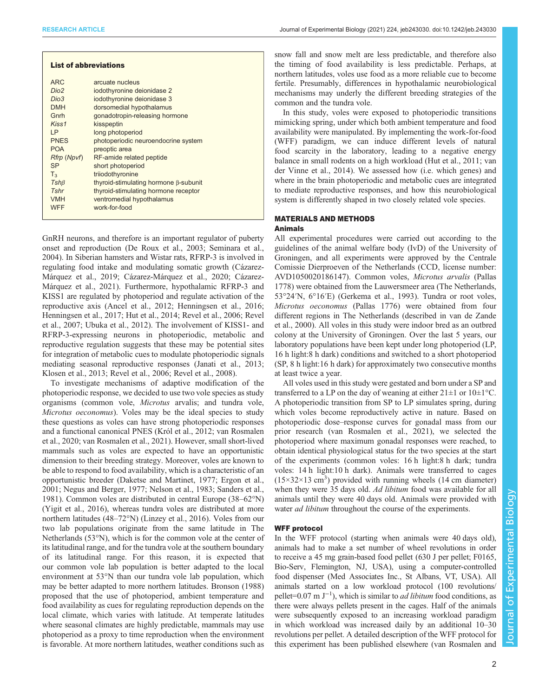| <b>List of abbreviations</b>                                                                                                                                                              |                                                                                                                                                                                                                                                                                                                                                                                                                        |
|-------------------------------------------------------------------------------------------------------------------------------------------------------------------------------------------|------------------------------------------------------------------------------------------------------------------------------------------------------------------------------------------------------------------------------------------------------------------------------------------------------------------------------------------------------------------------------------------------------------------------|
| ARC <sub></sub><br>Dio <sub>2</sub><br>Dio3<br><b>DMH</b><br>Gnrh<br>Kiss1<br>I P<br><b>PNES</b><br><b>POA</b><br>Rfrp (Npvf)<br><b>SP</b><br>$T_{3}$<br>$Tsh\beta$<br>Tshr<br><b>VMH</b> | arcuate nucleus<br>iodothyronine deionidase 2<br>iodothyronine deionidase 3<br>dorsomedial hypothalamus<br>gonadotropin-releasing hormone<br>kisspeptin<br>long photoperiod<br>photoperiodic neuroendocrine system<br>preoptic area<br>RF-amide related peptide<br>short photoperiod<br>triiodothyronine<br>thyroid-stimulating hormone β-subunit<br>thyroid-stimulating hormone receptor<br>ventromedial hypothalamus |
| <b>WFF</b>                                                                                                                                                                                | work-for-food                                                                                                                                                                                                                                                                                                                                                                                                          |

GnRH neurons, and therefore is an important regulator of puberty onset and reproduction [\(De Roux et al., 2003](#page-7-0); [Seminara et al.,](#page-8-0) [2004](#page-8-0)). In Siberian hamsters and Wistar rats, RFRP-3 is involved in regulating food intake and modulating somatic growth ([Cázarez-](#page-7-0)[Márquez et al., 2019](#page-7-0); [Cázarez-Márquez et al., 2020](#page-7-0); [Cázarez-](#page-7-0)[Márquez et al., 2021\)](#page-7-0). Furthermore, hypothalamic RFRP-3 and KISS1 are regulated by photoperiod and regulate activation of the reproductive axis ([Ancel et al., 2012; Henningsen et al., 2016](#page-7-0); [Henningsen et al., 2017;](#page-7-0) [Hut et al., 2014; Revel et al., 2006](#page-8-0); [Revel](#page-8-0) [et al., 2007](#page-8-0); [Ubuka et al., 2012](#page-9-0)). The involvement of KISS1- and RFRP-3-expressing neurons in photoperiodic, metabolic and reproductive regulation suggests that these may be potential sites for integration of metabolic cues to modulate photoperiodic signals mediating seasonal reproductive responses ([Janati et al., 2013](#page-8-0); [Klosen et al., 2013; Revel et al., 2006](#page-8-0); [Revel et al., 2008](#page-8-0)).

To investigate mechanisms of adaptive modification of the photoperiodic response, we decided to use two vole species as study organisms (common vole, Microtus arvalis; and tundra vole, Microtus oeconomus). Voles may be the ideal species to study these questions as voles can have strong photoperiodic responses and a functional canonical PNES ([Król et al., 2012](#page-8-0); [van Rosmalen](#page-9-0) [et al., 2020](#page-9-0); [van Rosmalen et al., 2021](#page-9-0)). However, small short-lived mammals such as voles are expected to have an opportunistic dimension to their breeding strategy. Moreover, voles are known to be able to respond to food availability, which is a characteristic of an opportunistic breeder [\(Daketse and Martinet, 1977; Ergon et al.,](#page-7-0) [2001](#page-7-0); [Negus and Berger, 1977; Nelson et al., 1983; Sanders et al.,](#page-8-0) [1981](#page-8-0)). Common voles are distributed in central Europe (38–62°N) [\(Yigit et al., 2016](#page-9-0)), whereas tundra voles are distributed at more northern latitudes (48–72°N) [\(Linzey et al., 2016](#page-8-0)). Voles from our two lab populations originate from the same latitude in The Netherlands (53°N), which is for the common vole at the center of its latitudinal range, and for the tundra vole at the southern boundary of its latitudinal range. For this reason, it is expected that our common vole lab population is better adapted to the local environment at 53°N than our tundra vole lab population, which may be better adapted to more northern latitudes. [Bronson \(1988\)](#page-7-0) proposed that the use of photoperiod, ambient temperature and food availability as cues for regulating reproduction depends on the local climate, which varies with latitude. At temperate latitudes where seasonal climates are highly predictable, mammals may use photoperiod as a proxy to time reproduction when the environment is favorable. At more northern latitudes, weather conditions such as

snow fall and snow melt are less predictable, and therefore also the timing of food availability is less predictable. Perhaps, at northern latitudes, voles use food as a more reliable cue to become fertile. Presumably, differences in hypothalamic neurobiological mechanisms may underly the different breeding strategies of the common and the tundra vole.

In this study, voles were exposed to photoperiodic transitions mimicking spring, under which both ambient temperature and food availability were manipulated. By implementing the work-for-food (WFF) paradigm, we can induce different levels of natural food scarcity in the laboratory, leading to a negative energy balance in small rodents on a high workload ([Hut et al., 2011](#page-8-0); [van](#page-9-0) [der Vinne et al., 2014\)](#page-9-0). We assessed how (i.e. which genes) and where in the brain photoperiodic and metabolic cues are integrated to mediate reproductive responses, and how this neurobiological system is differently shaped in two closely related vole species.

#### MATERIALS AND METHODS Animals

All experimental procedures were carried out according to the guidelines of the animal welfare body (IvD) of the University of Groningen, and all experiments were approved by the Centrale Comissie Dierproeven of the Netherlands (CCD, license number: AVD1050020186147). Common voles, Microtus arvalis (Pallas 1778) were obtained from the Lauwersmeer area (The Netherlands, 53°24′N, 6°16′E) [\(Gerkema et al., 1993\)](#page-7-0). Tundra or root voles, Microtus oeconomus (Pallas 1776) were obtained from four different regions in The Netherlands (described in [van de Zande](#page-9-0) [et al., 2000](#page-9-0)). All voles in this study were indoor bred as an outbred colony at the University of Groningen. Over the last 5 years, our laboratory populations have been kept under long photoperiod (LP, 16 h light:8 h dark) conditions and switched to a short photoperiod (SP, 8 h light:16 h dark) for approximately two consecutive months at least twice a year.

All voles used in this study were gestated and born under a SP and transferred to a LP on the day of weaning at either  $21 \pm 1$  or  $10 \pm 1$ °C. A photoperiodic transition from SP to LP simulates spring, during which voles become reproductively active in nature. Based on photoperiodic dose–response curves for gonadal mass from our prior research ([van Rosmalen et al., 2021](#page-9-0)), we selected the photoperiod where maximum gonadal responses were reached, to obtain identical physiological status for the two species at the start of the experiments (common voles: 16 h light:8 h dark; tundra voles: 14 h light:10 h dark). Animals were transferred to cages  $(15\times32\times13 \text{ cm}^3)$  provided with running wheels (14 cm diameter) when they were 35 days old. Ad libitum food was available for all animals until they were 40 days old. Animals were provided with water *ad libitum* throughout the course of the experiments.

#### WFF protocol

In the WFF protocol (starting when animals were 40 days old), animals had to make a set number of wheel revolutions in order to receive a 45 mg grain-based food pellet (630 J per pellet; F0165, Bio-Serv, Flemington, NJ, USA), using a computer-controlled food dispenser (Med Associates Inc., St Albans, VT, USA). All animals started on a low workload protocol (100 revolutions/ pellet=0.07 m  $J^{-1}$ ), which is similar to *ad libitum* food conditions, as there were always pellets present in the cages. Half of the animals were subsequently exposed to an increasing workload paradigm in which workload was increased daily by an additional 10–30 revolutions per pellet. A detailed description of the WFF protocol for this experiment has been published elsewhere [\(van Rosmalen and](#page-9-0)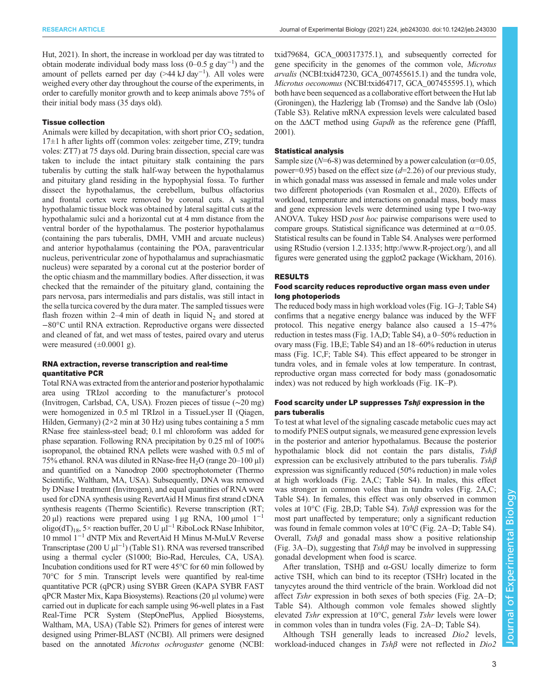[Hut, 2021](#page-9-0)). In short, the increase in workload per day was titrated to obtain moderate individual body mass loss (0–0.5 g day−<sup>1</sup> ) and the amount of pellets earned per day (>44 kJ day−<sup>1</sup> ). All voles were weighed every other day throughout the course of the experiments, in order to carefully monitor growth and to keep animals above 75% of their initial body mass (35 days old).

#### Tissue collection

Animals were killed by decapitation, with short prior  $CO<sub>2</sub>$  sedation, 17±1 h after lights off (common voles: zeitgeber time, ZT9; tundra voles: ZT7) at 75 days old. During brain dissection, special care was taken to include the intact pituitary stalk containing the pars tuberalis by cutting the stalk half-way between the hypothalamus and pituitary gland residing in the hypophysial fossa. To further dissect the hypothalamus, the cerebellum, bulbus olfactorius and frontal cortex were removed by coronal cuts. A sagittal hypothalamic tissue block was obtained by lateral sagittal cuts at the hypothalamic sulci and a horizontal cut at 4 mm distance from the ventral border of the hypothalamus. The posterior hypothalamus (containing the pars tuberalis, DMH, VMH and arcuate nucleus) and anterior hypothalamus (containing the POA, paraventricular nucleus, periventricular zone of hypothalamus and suprachiasmatic nucleus) were separated by a coronal cut at the posterior border of the optic chiasm and the mammillary bodies. After dissection, it was checked that the remainder of the pituitary gland, containing the pars nervosa, pars intermedialis and pars distalis, was still intact in the sella turcica covered by the dura mater. The sampled tissues were flash frozen within 2–4 min of death in liquid  $N_2$  and stored at −80°C until RNA extraction. Reproductive organs were dissected and cleaned of fat, and wet mass of testes, paired ovary and uterus were measured  $(\pm 0.0001 \text{ g})$ .

#### RNA extraction, reverse transcription and real-time quantitative PCR

Total RNA was extracted from the anterior and posterior hypothalamic area using TRIzol according to the manufacturer's protocol (Invitrogen, Carlsbad, CA, USA). Frozen pieces of tissue (∼20 mg) were homogenized in 0.5 ml TRIzol in a TissueLyser II (Qiagen, Hilden, Germany)  $(2\times2 \text{ min at } 30 \text{ Hz})$  using tubes containing a 5 mm RNase free stainless-steel bead; 0.1 ml chloroform was added for phase separation. Following RNA precipitation by 0.25 ml of 100% isopropanol, the obtained RNA pellets were washed with 0.5 ml of 75% ethanol. RNA was diluted in RNase-free  $H<sub>2</sub>O$  (range 20–100 µl) and quantified on a Nanodrop 2000 spectrophotometer (Thermo Scientific, Waltham, MA, USA). Subsequently, DNA was removed by DNase I treatment (Invitrogen), and equal quantities of RNA were used for cDNA synthesis using RevertAid H Minus first strand cDNA synthesis reagents (Thermo Scientific). Reverse transcription (RT; 20 μl) reactions were prepared using 1 μg RNA, 100 μmol  $1^{-1}$ oligo(dT)18, 5× reaction buffer, 20 U µl<sup>−</sup><sup>1</sup> RiboLock RNase Inhibitor, 10 mmol 1−<sup>1</sup> dNTP Mix and RevertAid H Minus M-MuLV Reverse Transcriptase (200 U µl−<sup>1</sup> ) [\(Table S1](https://journals.biologists.com/jeb/article-lookup/DOI/10.1242/jeb.243030)). RNA was reversed transcribed using a thermal cycler (S1000; Bio-Rad, Hercules, CA, USA). Incubation conditions used for RT were 45°C for 60 min followed by 70°C for 5 min. Transcript levels were quantified by real-time quantitative PCR (qPCR) using SYBR Green (KAPA SYBR FAST qPCR Master Mix, Kapa Biosystems). Reactions (20 μl volume) were carried out in duplicate for each sample using 96-well plates in a Fast Real-Time PCR System (StepOnePlus, Applied Biosystems, Waltham, MA, USA) ([Table S2\)](https://journals.biologists.com/jeb/article-lookup/DOI/10.1242/jeb.243030). Primers for genes of interest were designed using Primer-BLAST (NCBI). All primers were designed based on the annotated *Microtus ochrogaster* genome (NCBI:

txid79684, [GCA\\_000317375.1](https://www.ncbi.nlm.nih.gov/assembly/GCF_000317375.1/)), and subsequently corrected for gene specificity in the genomes of the common vole, Microtus arvalis (NCBI:txid47230, [GCA\\_007455615.1](https://www.ncbi.nlm.nih.gov/assembly/GCA_007455615.1/)) and the tundra vole, Microtus oeconomus (NCBI:txid64717, [GCA\\_007455595.1\)](https://www.ncbi.nlm.nih.gov/assembly/GCA_007455595.1/), which both have been sequenced as a collaborative effort between the Hut lab (Groningen), the Hazlerigg lab (Tromsø) and the Sandve lab (Oslo) [\(Table S3](https://journals.biologists.com/jeb/article-lookup/DOI/10.1242/jeb.243030)). Relative mRNA expression levels were calculated based on the  $\Delta \Delta CT$  method using *Gapdh* as the reference gene [\(Pfaffl,](#page-8-0) [2001\)](#page-8-0).

#### Statistical analysis

Sample size ( $N=6-8$ ) was determined by a power calculation ( $\alpha=0.05$ , power=0.95) based on the effect size  $(d=2.26)$  of our previous study, in which gonadal mass was assessed in female and male voles under two different photoperiods [\(van Rosmalen et al., 2020](#page-9-0)). Effects of workload, temperature and interactions on gonadal mass, body mass and gene expression levels were determined using type I two-way ANOVA. Tukey HSD post hoc pairwise comparisons were used to compare groups. Statistical significance was determined at  $\alpha$ =0.05. Statistical results can be found in [Table S4](https://journals.biologists.com/jeb/article-lookup/DOI/10.1242/jeb.243030). Analyses were performed using RStudio (version 1.2.1335;<http://www.R-project.org/>), and all figures were generated using the ggplot2 package [\(Wickham, 2016\)](#page-9-0).

#### RESULTS

#### Food scarcity reduces reproductive organ mass even under long photoperiods

The reduced body mass in high workload voles [\(Fig. 1](#page-3-0)G–J; [Table S4\)](https://journals.biologists.com/jeb/article-lookup/DOI/10.1242/jeb.243030) confirms that a negative energy balance was induced by the WFF protocol. This negative energy balance also caused a 15–47% reduction in testes mass ([Fig. 1](#page-3-0)A,D; [Table S4](https://journals.biologists.com/jeb/article-lookup/DOI/10.1242/jeb.243030)), a 0–50% reduction in ovary mass [\(Fig. 1B](#page-3-0),E; [Table S4](https://journals.biologists.com/jeb/article-lookup/DOI/10.1242/jeb.243030)) and an 18–60% reduction in uterus mass ([Fig. 1](#page-3-0)C,F; [Table S4\)](https://journals.biologists.com/jeb/article-lookup/DOI/10.1242/jeb.243030). This effect appeared to be stronger in tundra voles, and in female voles at low temperature. In contrast, reproductive organ mass corrected for body mass (gonadosomatic index) was not reduced by high workloads [\(Fig. 1](#page-3-0)K–P).

# Food scarcity under LP suppresses Tshβ expression in the pars tuberalis

To test at what level of the signaling cascade metabolic cues may act to modify PNES output signals, we measured gene expression levels in the posterior and anterior hypothalamus. Because the posterior hypothalamic block did not contain the pars distalis, Tshβ expression can be exclusively attributed to the pars tuberalis.  $Tsh\beta$ expression was significantly reduced (50% reduction) in male voles at high workloads [\(Fig. 2](#page-4-0)A,C; [Table S4\)](https://journals.biologists.com/jeb/article-lookup/DOI/10.1242/jeb.243030). In males, this effect was stronger in common voles than in tundra voles [\(Fig. 2A](#page-4-0),C; [Table S4\)](https://journals.biologists.com/jeb/article-lookup/DOI/10.1242/jeb.243030). In females, this effect was only observed in common voles at 10°C [\(Fig. 2B](#page-4-0),D; [Table S4](https://journals.biologists.com/jeb/article-lookup/DOI/10.1242/jeb.243030)). Tshβ expression was for the most part unaffected by temperature; only a significant reduction was found in female common voles at 10°C [\(Fig. 2](#page-4-0)A–D; [Table S4\)](https://journals.biologists.com/jeb/article-lookup/DOI/10.1242/jeb.243030). Overall,  $Tsh\beta$  and gonadal mass show a positive relationship [\(Fig. 3](#page-5-0)A–D), suggesting that  $Tsh\beta$  may be involved in suppressing gonadal development when food is scarce.

After translation, TSHβ and α-GSU locally dimerize to form active TSH, which can bind to its receptor (TSHr) located in the tanycytes around the third ventricle of the brain. Workload did not affect Tshr expression in both sexes of both species ([Fig. 2A](#page-4-0)–D; [Table S4\)](https://journals.biologists.com/jeb/article-lookup/DOI/10.1242/jeb.243030). Although common vole females showed slightly elevated Tshr expression at 10°C, general Tshr levels were lower in common voles than in tundra voles ([Fig. 2](#page-4-0)A–D; [Table S4\)](https://journals.biologists.com/jeb/article-lookup/DOI/10.1242/jeb.243030).

Although TSH generally leads to increased Dio2 levels, workload-induced changes in Tshβ were not reflected in Dio2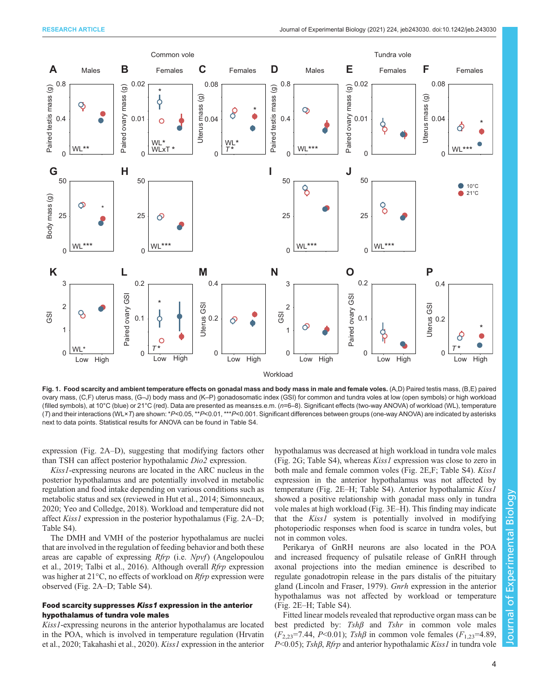<span id="page-3-0"></span>

Fig. 1. Food scarcity and ambient temperature effects on gonadal mass and body mass in male and female voles. (A,D) Paired testis mass, (B,E) paired ovary mass, (C,F) uterus mass, (G–J) body mass and (K–P) gonadosomatic index (GSI) for common and tundra voles at low (open symbols) or high workload (filled symbols), at 10°C (blue) or 21°C (red). Data are presented as means±s.e.m. (n=6–8). Significant effects (two-way ANOVA) of workload (WL), temperature (T) and their interactions (WL×T) are shown: \*P<0.05, \*\*P<0.01, \*\*\*P<0.001. Significant differences between groups (one-way ANOVA) are indicated by asterisks next to data points. Statistical results for ANOVA can be found in [Table S4](https://journals.biologists.com/jeb/article-lookup/DOI/10.1242/jeb.243030).

expression ([Fig. 2A](#page-4-0)–D), suggesting that modifying factors other than TSH can affect posterior hypothalamic Dio2 expression.

Kiss1-expressing neurons are located in the ARC nucleus in the posterior hypothalamus and are potentially involved in metabolic regulation and food intake depending on various conditions such as metabolic status and sex (reviewed in [Hut et al., 2014; Simonneaux,](#page-8-0) [2020](#page-8-0); [Yeo and Colledge, 2018](#page-9-0)). Workload and temperature did not affect Kiss1 expression in the posterior hypothalamus ([Fig. 2A](#page-4-0)–D; [Table S4\)](https://journals.biologists.com/jeb/article-lookup/DOI/10.1242/jeb.243030).

The DMH and VMH of the posterior hypothalamus are nuclei that are involved in the regulation of feeding behavior and both these areas are capable of expressing Rfrp (i.e. Npvf) ([Angelopoulou](#page-7-0) [et al., 2019;](#page-7-0) [Talbi et al., 2016\)](#page-8-0). Although overall Rfrp expression was higher at  $21^{\circ}$ C, no effects of workload on *Rfrp* expression were observed ([Fig. 2](#page-4-0)A–D; [Table S4\)](https://journals.biologists.com/jeb/article-lookup/DOI/10.1242/jeb.243030).

## Food scarcity suppresses Kiss1 expression in the anterior hypothalamus of tundra vole males

Kiss1-expressing neurons in the anterior hypothalamus are located in the POA, which is involved in temperature regulation [\(Hrvatin](#page-8-0) [et al., 2020](#page-8-0); [Takahashi et al., 2020\)](#page-8-0). Kiss1 expression in the anterior hypothalamus was decreased at high workload in tundra vole males [\(Fig. 2](#page-4-0)G; [Table S4\)](https://journals.biologists.com/jeb/article-lookup/DOI/10.1242/jeb.243030), whereas Kiss1 expression was close to zero in both male and female common voles [\(Fig. 2E](#page-4-0), F; [Table S4\)](https://journals.biologists.com/jeb/article-lookup/DOI/10.1242/jeb.243030). Kiss1 expression in the anterior hypothalamus was not affected by temperature ([Fig. 2E](#page-4-0)–H; [Table S4\)](https://journals.biologists.com/jeb/article-lookup/DOI/10.1242/jeb.243030). Anterior hypothalamic Kiss1 showed a positive relationship with gonadal mass only in tundra vole males at high workload ([Fig. 3E](#page-5-0)–H). This finding may indicate that the Kiss1 system is potentially involved in modifying photoperiodic responses when food is scarce in tundra voles, but not in common voles.

Perikarya of GnRH neurons are also located in the POA and increased frequency of pulsatile release of GnRH through axonal projections into the median eminence is described to regulate gonadotropin release in the pars distalis of the pituitary gland [\(Lincoln and Fraser, 1979\)](#page-8-0). Gnrh expression in the anterior hypothalamus was not affected by workload or temperature [\(Fig. 2](#page-4-0)E–H; [Table S4\)](https://journals.biologists.com/jeb/article-lookup/DOI/10.1242/jeb.243030).

Fitted linear models revealed that reproductive organ mass can be best predicted by:  $Tsh\beta$  and  $Tshr$  in common vole males  $(F_{2,23}=7.44, P<0.01)$ ; Tsh $\beta$  in common vole females  $(F_{1,23}=4.89,$  $P<0.05$ ); Tsh $\beta$ , Rfrp and anterior hypothalamic Kiss1 in tundra vole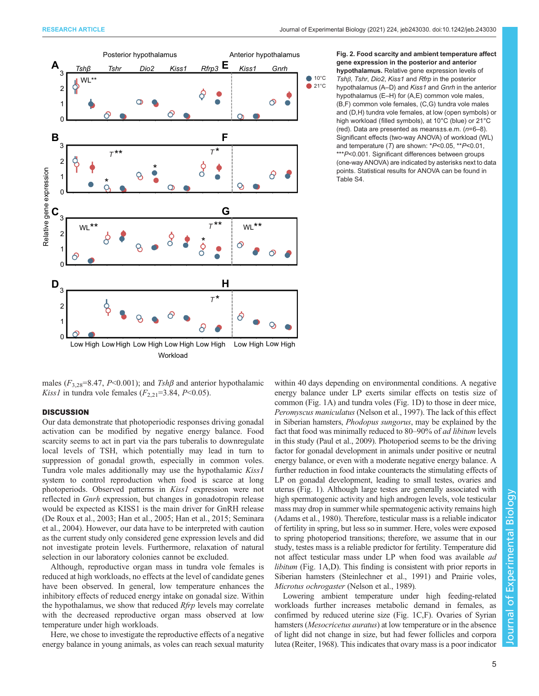[Table S4.](https://journals.biologists.com/jeb/article-lookup/DOI/10.1242/jeb.243030)

<span id="page-4-0"></span>

Fig. 2. Food scarcity and ambient temperature affect gene expression in the posterior and anterior hypothalamus. Relative gene expression levels of Tshβ, Tshr, Dio2, Kiss1 and Rfrp in the posterior hypothalamus (A–D) and Kiss1 and Gnrh in the anterior hypothalamus (E–H) for (A,E) common vole males, (B,F) common vole females, (C,G) tundra vole males and (D,H) tundra vole females, at low (open symbols) or high workload (filled symbols), at 10°C (blue) or 21°C (red). Data are presented as means±s.e.m. (n=6–8). Significant effects (two-way ANOVA) of workload (WL) and temperature (T) are shown: \*P<0.05, \*\*P<0.01, \*\*\*P<0.001. Significant differences between groups (one-way ANOVA) are indicated by asterisks next to data points. Statistical results for ANOVA can be found in

males ( $F_{3,28}$ =8.47, P<0.001); and Tsh $\beta$  and anterior hypothalamic *Kiss1* in tundra vole females  $(F_{2,21}=3.84, P<0.05)$ .

## **DISCUSSION**

Our data demonstrate that photoperiodic responses driving gonadal activation can be modified by negative energy balance. Food scarcity seems to act in part via the pars tuberalis to downregulate local levels of TSH, which potentially may lead in turn to suppression of gonadal growth, especially in common voles. Tundra vole males additionally may use the hypothalamic Kiss1 system to control reproduction when food is scarce at long photoperiods. Observed patterns in Kiss1 expression were not reflected in Gnrh expression, but changes in gonadotropin release would be expected as KISS1 is the main driver for GnRH release [\(De Roux et al., 2003](#page-7-0); [Han et al., 2005; Han et al., 2015;](#page-7-0) [Seminara](#page-8-0) [et al., 2004\)](#page-8-0). However, our data have to be interpreted with caution as the current study only considered gene expression levels and did not investigate protein levels. Furthermore, relaxation of natural selection in our laboratory colonies cannot be excluded.

Although, reproductive organ mass in tundra vole females is reduced at high workloads, no effects at the level of candidate genes have been observed. In general, low temperature enhances the inhibitory effects of reduced energy intake on gonadal size. Within the hypothalamus, we show that reduced Rfrp levels may correlate with the decreased reproductive organ mass observed at low temperature under high workloads.

Here, we chose to investigate the reproductive effects of a negative energy balance in young animals, as voles can reach sexual maturity within 40 days depending on environmental conditions. A negative energy balance under LP exerts similar effects on testis size of common [\(Fig. 1A](#page-3-0)) and tundra voles [\(Fig. 1](#page-3-0)D) to those in deer mice, Peromyscus maniculatus [\(Nelson et al., 1997](#page-8-0)). The lack of this effect in Siberian hamsters, Phodopus sungorus, may be explained by the fact that food was minimally reduced to 80–90% of ad libitum levels in this study ([Paul et al., 2009\)](#page-8-0). Photoperiod seems to be the driving factor for gonadal development in animals under positive or neutral energy balance, or even with a moderate negative energy balance. A further reduction in food intake counteracts the stimulating effects of LP on gonadal development, leading to small testes, ovaries and uterus ([Fig. 1](#page-3-0)). Although large testes are generally associated with high spermatogenic activity and high androgen levels, vole testicular mass may drop in summer while spermatogenic activity remains high [\(Adams et al., 1980](#page-7-0)). Therefore, testicular mass is a reliable indicator of fertility in spring, but less so in summer. Here, voles were exposed to spring photoperiod transitions; therefore, we assume that in our study, testes mass is a reliable predictor for fertility. Temperature did not affect testicular mass under LP when food was available ad libitum [\(Fig. 1](#page-3-0)A,D). This finding is consistent with prior reports in Siberian hamsters ([Steinlechner et al., 1991](#page-8-0)) and Prairie voles, Microtus ochrogaster ([Nelson et al., 1989](#page-8-0)).

Lowering ambient temperature under high feeding-related workloads further increases metabolic demand in females, as confirmed by reduced uterine size [\(Fig. 1](#page-3-0)C,F). Ovaries of Syrian hamsters (Mesocricetus auratus) at low temperature or in the absence of light did not change in size, but had fewer follicles and corpora lutea ([Reiter, 1968\)](#page-8-0). This indicates that ovary mass is a poor indicator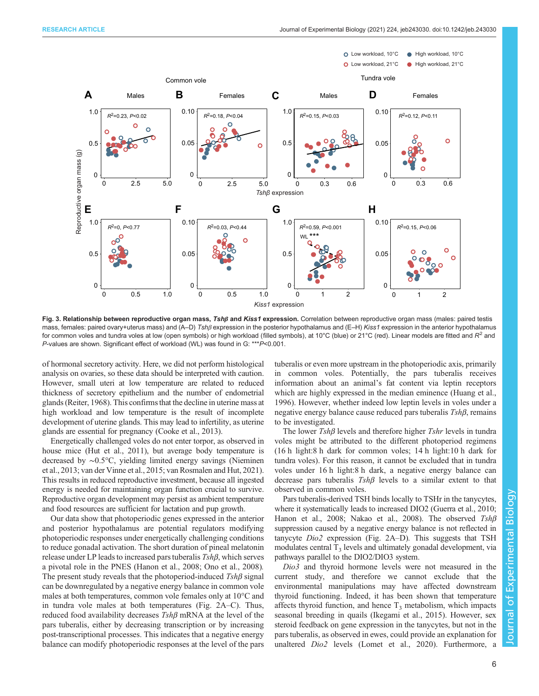<span id="page-5-0"></span>

Fig. 3. Relationship between reproductive organ mass, Tshβ and Kiss1 expression. Correlation between reproductive organ mass (males: paired testis mass, females: paired ovary+uterus mass) and (A–D) Tshβ expression in the posterior hypothalamus and (E–H) Kiss1 expression in the anterior hypothalamus for common voles and tundra voles at low (open symbols) or high workload (filled symbols), at 10°C (blue) or 21°C (red). Linear models are fitted and R<sup>2</sup> and P-values are shown. Significant effect of workload (WL) was found in G: \*\*\*P<0.001.

of hormonal secretory activity. Here, we did not perform histological analysis on ovaries, so these data should be interpreted with caution. However, small uteri at low temperature are related to reduced thickness of secretory epithelium and the number of endometrial glands ([Reiter, 1968\)](#page-8-0). This confirms that the decline in uterine mass at high workload and low temperature is the result of incomplete development of uterine glands. This may lead to infertility, as uterine glands are essential for pregnancy ([Cooke et al., 2013\)](#page-7-0).

Energetically challenged voles do not enter torpor, as observed in house mice ([Hut et al., 2011\)](#page-8-0), but average body temperature is decreased by ∼0.5°C, yielding limited energy savings ([Nieminen](#page-8-0) [et al., 2013;](#page-8-0) [van der Vinne et al., 2015; van Rosmalen and Hut, 2021\)](#page-9-0). This results in reduced reproductive investment, because all ingested energy is needed for maintaining organ function crucial to survive. Reproductive organ development may persist as ambient temperature and food resources are sufficient for lactation and pup growth.

Our data show that photoperiodic genes expressed in the anterior and posterior hypothalamus are potential regulators modifying photoperiodic responses under energetically challenging conditions to reduce gonadal activation. The short duration of pineal melatonin release under LP leads to increased pars tuberalis Tshβ, which serves a pivotal role in the PNES [\(Hanon et al., 2008;](#page-7-0) [Ono et al., 2008\)](#page-8-0). The present study reveals that the photoperiod-induced  $Tsh\beta$  signal can be downregulated by a negative energy balance in common vole males at both temperatures, common vole females only at 10°C and in tundra vole males at both temperatures ([Fig. 2](#page-4-0)A–C). Thus, reduced food availability decreases Tshβ mRNA at the level of the pars tuberalis, either by decreasing transcription or by increasing post-transcriptional processes. This indicates that a negative energy balance can modify photoperiodic responses at the level of the pars

tuberalis or even more upstream in the photoperiodic axis, primarily in common voles. Potentially, the pars tuberalis receives information about an animal's fat content via leptin receptors which are highly expressed in the median eminence ([Huang et al.,](#page-8-0) [1996\)](#page-8-0). However, whether indeed low leptin levels in voles under a negative energy balance cause reduced pars tuberalis  $Tsh\beta$ , remains to be investigated.

The lower  $Tsh\beta$  levels and therefore higher  $Tshr$  levels in tundra voles might be attributed to the different photoperiod regimens (16 h light:8 h dark for common voles; 14 h light:10 h dark for tundra voles). For this reason, it cannot be excluded that in tundra voles under 16 h light:8 h dark, a negative energy balance can decrease pars tuberalis  $Tsh\beta$  levels to a similar extent to that observed in common voles.

Pars tuberalis-derived TSH binds locally to TSHr in the tanycytes, where it systematically leads to increased DIO2 [\(Guerra et al., 2010](#page-7-0); [Hanon et al., 2008](#page-7-0); [Nakao et al., 2008](#page-8-0)). The observed Tshβ suppression caused by a negative energy balance is not reflected in tanycyte Dio2 expression [\(Fig. 2A](#page-4-0)–D). This suggests that TSH modulates central  $T_3$  levels and ultimately gonadal development, via pathways parallel to the DIO2/DIO3 system.

Dio3 and thyroid hormone levels were not measured in the current study, and therefore we cannot exclude that the environmental manipulations may have affected downstream thyroid functioning. Indeed, it has been shown that temperature affects thyroid function, and hence  $T_3$  metabolism, which impacts seasonal breeding in quails ([Ikegami et al., 2015\)](#page-8-0). However, sex steroid feedback on gene expression in the tanycytes, but not in the pars tuberalis, as observed in ewes, could provide an explanation for unaltered Dio2 levels [\(Lomet et al., 2020](#page-8-0)). Furthermore, a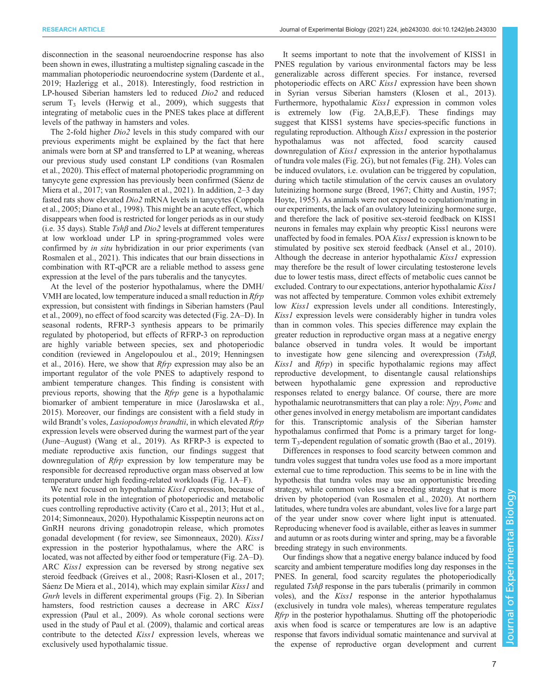disconnection in the seasonal neuroendocrine response has also been shown in ewes, illustrating a multistep signaling cascade in the mammalian photoperiodic neuroendocrine system [\(Dardente et al.,](#page-7-0) [2019](#page-7-0); [Hazlerigg et al., 2018\)](#page-7-0). Interestingly, food restriction in LP-housed Siberian hamsters led to reduced Dio2 and reduced serum  $T_3$  levels ([Herwig et al., 2009](#page-8-0)), which suggests that integrating of metabolic cues in the PNES takes place at different levels of the pathway in hamsters and voles.

The 2-fold higher Dio2 levels in this study compared with our previous experiments might be explained by the fact that here animals were born at SP and transferred to LP at weaning, whereas our previous study used constant LP conditions ([van Rosmalen](#page-9-0) [et al., 2020](#page-9-0)). This effect of maternal photoperiodic programming on tanycyte gene expression has previously been confirmed [\(Sáenz de](#page-8-0) [Miera et al., 2017](#page-8-0); [van Rosmalen et al., 2021\)](#page-9-0). In addition, 2–3 day fasted rats show elevated Dio2 mRNA levels in tanycytes [\(Coppola](#page-7-0) [et al., 2005; Diano et al., 1998\)](#page-7-0). This might be an acute effect, which disappears when food is restricted for longer periods as in our study (i.e. 35 days). Stable  $Tsh\beta$  and  $Di\alpha$  levels at different temperatures at low workload under LP in spring-programmed voles were confirmed by in situ hybridization in our prior experiments [\(van](#page-9-0) [Rosmalen et al., 2021](#page-9-0)). This indicates that our brain dissections in combination with RT-qPCR are a reliable method to assess gene expression at the level of the pars tuberalis and the tanycytes.

At the level of the posterior hypothalamus, where the DMH/ VMH are located, low temperature induced a small reduction in Rfrp expression, but consistent with findings in Siberian hamsters [\(Paul](#page-8-0) [et al., 2009](#page-8-0)), no effect of food scarcity was detected ([Fig. 2](#page-4-0)A–D). In seasonal rodents, RFRP-3 synthesis appears to be primarily regulated by photoperiod, but effects of RFRP-3 on reproduction are highly variable between species, sex and photoperiodic condition (reviewed in [Angelopoulou et al., 2019; Henningsen](#page-7-0) [et al., 2016\)](#page-7-0). Here, we show that Rfrp expression may also be an important regulator of the vole PNES to adaptively respond to ambient temperature changes. This finding is consistent with previous reports, showing that the Rfrp gene is a hypothalamic biomarker of ambient temperature in mice ([Jaroslawska et al.,](#page-8-0) [2015](#page-8-0)). Moreover, our findings are consistent with a field study in wild Brandt's voles, *Lasiopodomys brandtii*, in which elevated *Rfrp* expression levels were observed during the warmest part of the year (June–August) ([Wang et al., 2019\)](#page-9-0). As RFRP-3 is expected to mediate reproductive axis function, our findings suggest that downregulation of *Rfrp* expression by low temperature may be responsible for decreased reproductive organ mass observed at low temperature under high feeding-related workloads ([Fig. 1](#page-3-0)A–F).

We next focused on hypothalamic *Kiss1* expression, because of its potential role in the integration of photoperiodic and metabolic cues controlling reproductive activity [\(Caro et al., 2013](#page-7-0); [Hut et al.,](#page-8-0) [2014](#page-8-0); [Simonneaux, 2020\)](#page-8-0). Hypothalamic Kisspeptin neurons act on GnRH neurons driving gonadotropin release, which promotes gonadal development (for review, see [Simonneaux, 2020](#page-8-0)). Kiss1 expression in the posterior hypothalamus, where the ARC is located, was not affected by either food or temperature [\(Fig. 2](#page-4-0)A–D). ARC Kiss1 expression can be reversed by strong negative sex steroid feedback [\(Greives et al., 2008;](#page-7-0) [Rasri-Klosen et al., 2017](#page-8-0); [Sáenz De Miera et al., 2014\)](#page-8-0), which may explain similar *Kiss1* and Gnrh levels in different experimental groups ([Fig. 2\)](#page-4-0). In Siberian hamsters, food restriction causes a decrease in ARC Kiss1 expression [\(Paul et al., 2009\)](#page-8-0). As whole coronal sections were used in the study of [Paul et al. \(2009\),](#page-8-0) thalamic and cortical areas contribute to the detected *Kiss1* expression levels, whereas we exclusively used hypothalamic tissue.

It seems important to note that the involvement of KISS1 in PNES regulation by various environmental factors may be less generalizable across different species. For instance, reversed photoperiodic effects on ARC Kiss1 expression have been shown in Syrian versus Siberian hamsters [\(Klosen et al., 2013\)](#page-8-0). Furthermore, hypothalamic Kiss1 expression in common voles is extremely low ([Fig. 2A](#page-4-0),B,E,F). These findings may suggest that KISS1 systems have species-specific functions in regulating reproduction. Although *Kiss1* expression in the posterior hypothalamus was not affected, food scarcity caused downregulation of *Kiss1* expression in the anterior hypothalamus of tundra vole males ([Fig. 2](#page-4-0)G), but not females [\(Fig. 2H](#page-4-0)). Voles can be induced ovulators, i.e. ovulation can be triggered by copulation, during which tactile stimulation of the cervix causes an ovulatory luteinizing hormone surge ([Breed, 1967](#page-7-0); [Chitty and Austin, 1957](#page-7-0); [Hoyte, 1955\)](#page-8-0). As animals were not exposed to copulation/mating in our experiments, the lack of an ovulatory luteinizing hormone surge, and therefore the lack of positive sex-steroid feedback on KISS1 neurons in females may explain why preoptic Kiss1 neurons were unaffected by food in females. POA *Kiss1* expression is known to be stimulated by positive sex steroid feedback ([Ansel et al., 2010\)](#page-7-0). Although the decrease in anterior hypothalamic *Kiss1* expression may therefore be the result of lower circulating testosterone levels due to lower testis mass, direct effects of metabolic cues cannot be excluded. Contrary to our expectations, anterior hypothalamic Kiss1 was not affected by temperature. Common voles exhibit extremely low Kiss1 expression levels under all conditions. Interestingly, Kiss1 expression levels were considerably higher in tundra voles than in common voles. This species difference may explain the greater reduction in reproductive organ mass at a negative energy balance observed in tundra voles. It would be important to investigate how gene silencing and overexpression (Tshβ, Kiss1 and Rfrp) in specific hypothalamic regions may affect reproductive development, to disentangle causal relationships between hypothalamic gene expression and reproductive responses related to energy balance. Of course, there are more hypothalamic neurotransmitters that can play a role: Npy, Pomc and other genes involved in energy metabolism are important candidates for this. Transcriptomic analysis of the Siberian hamster hypothalamus confirmed that Pomc is a primary target for longterm  $T_3$ -dependent regulation of somatic growth ([Bao et al., 2019\)](#page-7-0).

Differences in responses to food scarcity between common and tundra voles suggest that tundra voles use food as a more important external cue to time reproduction. This seems to be in line with the hypothesis that tundra voles may use an opportunistic breeding strategy, while common voles use a breeding strategy that is more driven by photoperiod ([van Rosmalen et al., 2020\)](#page-9-0). At northern latitudes, where tundra voles are abundant, voles live for a large part of the year under snow cover where light input is attenuated. Reproducing whenever food is available, either as leaves in summer and autumn or as roots during winter and spring, may be a favorable breeding strategy in such environments.

Our findings show that a negative energy balance induced by food scarcity and ambient temperature modifies long day responses in the PNES. In general, food scarcity regulates the photoperiodically regulated  $Tsh\beta$  response in the pars tuberalis (primarily in common voles), and the Kiss1 response in the anterior hypothalamus (exclusively in tundra vole males), whereas temperature regulates Rfrp in the posterior hypothalamus. Shutting off the photoperiodic axis when food is scarce or temperatures are low is an adaptive response that favors individual somatic maintenance and survival at the expense of reproductive organ development and current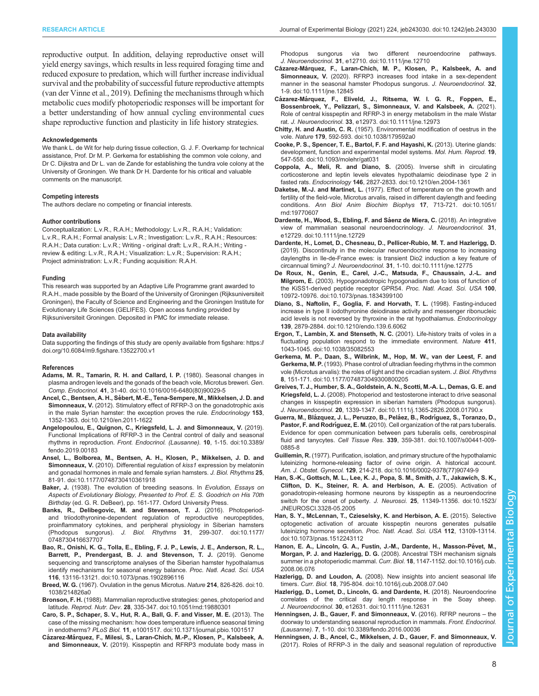<span id="page-7-0"></span>reproductive output. In addition, delaying reproductive onset will yield energy savings, which results in less required foraging time and reduced exposure to predation, which will further increase individual survival and the probability of successful future reproductive attempts [\(van der Vinne et al., 2019\)](#page-9-0). Defining the mechanisms through which metabolic cues modify photoperiodic responses will be important for a better understanding of how annual cycling environmental cues shape reproductive function and plasticity in life history strategies.

#### Acknowledgements

We thank L. de Wit for help during tissue collection, G. J. F. Overkamp for technical assistance, Prof. Dr M. P. Gerkema for establishing the common vole colony, and Dr C. Dijkstra and Dr L. van de Zande for establishing the tundra vole colony at the University of Groningen. We thank Dr H. Dardente for his critical and valuable comments on the manuscript.

#### Competing interests

The authors declare no competing or financial interests.

#### Author contributions

Conceptualization: L.v.R., R.A.H.; Methodology: L.v.R., R.A.H.; Validation: L.v.R., R.A.H.; Formal analysis: L.v.R.; Investigation: L.v.R., R.A.H.; Resources: R.A.H.; Data curation: L.v.R.; Writing - original draft: L.v.R., R.A.H.; Writing review & editing: L.v.R., R.A.H.; Visualization: L.v.R.; Supervision: R.A.H.; Project administration: L.v.R.; Funding acquisition: R.A.H.

#### Funding

This research was supported by an Adaptive Life Programme grant awarded to R.A.H., made possible by the Board of the University of Groningen (Rijksuniversiteit Groningen), the Faculty of Science and Engineering and the Groningen Institute for Evolutionary Life Sciences (GELIFES). Open access funding provided by Rijksuniversiteit Groningen. Deposited in PMC for immediate release.

#### Data availability

Data supporting the findings of this study are openly available from figshare: [https://](https://doi.org/10.6084/m9.figshare.13522700.v1) [doi.org/10.6084/m9.figshare.13522700.v1](https://doi.org/10.6084/m9.figshare.13522700.v1)

#### References

- [Adams, M. R., Tamarin, R. H. and Callard, I. P.](https://doi.org/10.1016/0016-6480(80)90029-5) (1980). Seasonal changes in [plasma androgen levels and the gonads of the beach vole, Microtus breweri.](https://doi.org/10.1016/0016-6480(80)90029-5) Gen. Comp. Endocrinol. 41[, 31-40. doi:10.1016/0016-6480\(80\)90029-5](https://doi.org/10.1016/0016-6480(80)90029-5)
- Ancel, C., Bentsen, A. H., Sé[bert, M.-E., Tena-Sempere, M., Mikkelsen, J. D. and](https://doi.org/10.1210/en.2011-1622) Simonneaux, V. [\(2012\). Stimulatory effect of RFRP-3 on the gonadotrophic axis](https://doi.org/10.1210/en.2011-1622) [in the male Syrian hamster: the exception proves the rule.](https://doi.org/10.1210/en.2011-1622) Endocrinology 153, [1352-1363. doi:10.1210/en.2011-1622](https://doi.org/10.1210/en.2011-1622)
- [Angelopoulou, E., Quignon, C., Kriegsfeld, L. J. and Simonneaux, V.](https://doi.org/10.3389/fendo.2019.00183) (2019). [Functional Implications of RFRP-3 in the Central control of daily and seasonal](https://doi.org/10.3389/fendo.2019.00183) rhythms in reproduction. [Front. Endocrinol. \(Lausanne\).](https://doi.org/10.3389/fendo.2019.00183) 10, 1-15. doi:10.3389/ [fendo.2019.00183](https://doi.org/10.3389/fendo.2019.00183)
- [Ansel, L., Bolborea, M., Bentsen, A. H., Klosen, P., Mikkelsen, J. D. and](https://doi.org/10.1177/0748730410361918) Simonneaux, V. [\(2010\). Differential regulation of](https://doi.org/10.1177/0748730410361918) kiss1 expression by melatonin [and gonadal hormones in male and female syrian hamsters.](https://doi.org/10.1177/0748730410361918) J. Biol. Rhythms 25, [81-91. doi:10.1177/0748730410361918](https://doi.org/10.1177/0748730410361918)
- Baker, J. (1938). The evolution of breeding seasons. In Evolution, Essays on Aspects of Evolutionary Biology, Presented to Prof. E. S. Goodrich on His 70th Birthday (ed. G. R. DeBeer), pp. 161-177. Oxford University Press.
- [Banks, R., Delibegovic, M. and Stevenson, T. J.](https://doi.org/10.1177/0748730416637707) (2016). Photoperiod[and triiodothyronine-dependent regulation of reproductive neuropeptides,](https://doi.org/10.1177/0748730416637707) [proinflammatory cytokines, and peripheral physiology in Siberian hamsters](https://doi.org/10.1177/0748730416637707) (Phodopus sungorus). J. Biol. Rhythms 31[, 299-307. doi:10.1177/](https://doi.org/10.1177/0748730416637707) [0748730416637707](https://doi.org/10.1177/0748730416637707)
- [Bao, R., Onishi, K. G., Tolla, E., Ebling, F. J. P., Lewis, J. E., Anderson, R. L.,](https://doi.org/10.1073/pnas.1902896116) [Barrett, P., Prendergast, B. J. and Stevenson, T. J.](https://doi.org/10.1073/pnas.1902896116) (2019). Genome [sequencing and transcriptome analyses of the Siberian hamster hypothalamus](https://doi.org/10.1073/pnas.1902896116) [identify mechanisms for seasonal energy balance.](https://doi.org/10.1073/pnas.1902896116) Proc. Natl. Acad. Sci. USA 116[, 13116-13121. doi:10.1073/pnas.1902896116](https://doi.org/10.1073/pnas.1902896116)
- Breed, W. G. [\(1967\). Ovulation in the genus Microtus.](https://doi.org/10.1038/214826a0) Nature 214, 826-826. doi:10. [1038/214826a0](https://doi.org/10.1038/214826a0)
- Bronson, F. H. [\(1988\). Mammalian reproductive strategies: genes, photoperiod and](https://doi.org/10.1051/rnd:19880301) latitude. Reprod. Nutr. Dev. 28[, 335-347. doi:10.1051/rnd:19880301](https://doi.org/10.1051/rnd:19880301)
- [Caro, S. P., Schaper, S. V., Hut, R. A., Ball, G. F. and Visser, M. E.](https://doi.org/10.1371/journal.pbio.1001517) (2013). The [case of the missing mechanism: how does temperature influence seasonal timing](https://doi.org/10.1371/journal.pbio.1001517) in endotherms? PLoS Biol. 11[, e1001517. doi:10.1371/journal.pbio.1001517](https://doi.org/10.1371/journal.pbio.1001517)
- Cázarez-Má[rquez, F., Milesi, S., Laran-Chich, M.-P., Klosen, P., Kalsbeek, A.](https://doi.org/10.1111/jne.12710) and Simonneaux, V. [\(2019\). Kisspeptin and RFRP3 modulate body mass in](https://doi.org/10.1111/jne.12710)

[Phodopus sungorus via two different neuroendocrine pathways.](https://doi.org/10.1111/jne.12710) J. Neuroendocrinol. 31[, e12710. doi:10.1111/jne.12710](https://doi.org/10.1111/jne.12710)

- Cázarez-Má[rquez, F., Laran-Chich, M. P., Klosen, P., Kalsbeek, A. and](https://doi.org/10.1111/jne.12845) Simonneaux, V. [\(2020\). RFRP3 increases food intake in a sex-dependent](https://doi.org/10.1111/jne.12845) [manner in the seasonal hamster Phodopus sungorus.](https://doi.org/10.1111/jne.12845) J. Neuroendocrinol. 32, [1-9. doi:10.1111/jne.12845](https://doi.org/10.1111/jne.12845)
- Cázarez-Má[rquez, F., Eliveld, J., Ritsema, W. I. G. R., Foppen, E.,](https://doi.org/10.1111/jne.12973) [Bossenbroek, Y., Pelizzari, S., Simonneaux, V. and Kalsbeek, A.](https://doi.org/10.1111/jne.12973) (2021). [Role of central kisspeptin and RFRP-3 in energy metabolism in the male Wistar](https://doi.org/10.1111/jne.12973) rat. J. Neuroendocrinol. 33[, e12973. doi:10.1111/jne.12973](https://doi.org/10.1111/jne.12973)
- Chitty, H. and Austin, C. R. [\(1957\). Environmental modification of oestrus in the](https://doi.org/10.1038/179592a0) vole. Nature 179[, 592-593. doi:10.1038/179592a0](https://doi.org/10.1038/179592a0)
- [Cooke, P. S., Spencer, T. E., Bartol, F. F. and Hayashi, K.](https://doi.org/10.1093/molehr/gat031) (2013). Uterine glands: [development, function and experimental model systems.](https://doi.org/10.1093/molehr/gat031) Mol. Hum. Reprod. 19, [547-558. doi:10.1093/molehr/gat031](https://doi.org/10.1093/molehr/gat031)
- [Coppola, A., Meli, R. and Diano, S.](https://doi.org/10.1210/en.2004-1361) (2005). Inverse shift in circulating [corticosterone and leptin levels elevates hypothalamic deiodinase type 2 in](https://doi.org/10.1210/en.2004-1361) fasted rats. Endocrinology 146[, 2827-2833. doi:10.1210/en.2004-1361](https://doi.org/10.1210/en.2004-1361)
- Daketse, M.-J. and Martinet, L. [\(1977\). Effect of temperature on the growth and](https://doi.org/10.1051/rnd:19770607) [fertility of the field-vole, Microtus arvalis, raised in different daylength and feeding](https://doi.org/10.1051/rnd:19770607) conditions. [Ann Biol Anim Biochim Biophys](https://doi.org/10.1051/rnd:19770607) 17, 713-721. doi:10.1051/ [rnd:19770607](https://doi.org/10.1051/rnd:19770607)
- Dardente, H., Wood, S., Ebling, F. and Sáenz de Miera, C. (2018). An integrative [view of mammalian seasonal neuroendocrinology.](https://doi.org/10.1111/jne.12729) J. Neuroendocrinol. 31, [e12729. doi:10.1111/jne.12729](https://doi.org/10.1111/jne.12729)
- [Dardente, H., Lomet, D., Chesneau, D., Pellicer-Rubio, M. T. and Hazlerigg, D.](https://doi.org/10.1111/jne.12775) [\(2019\). Discontinuity in the molecular neuroendocrine response to increasing](https://doi.org/10.1111/jne.12775) [daylengths in Ile-de-France ewes: is transient Dio2 induction a key feature of](https://doi.org/10.1111/jne.12775) circannual timing? J. Neuroendocrinol. 31[, 1-10. doi:10.1111/jne.12775](https://doi.org/10.1111/jne.12775)
- [De Roux, N., Genin, E., Carel, J.-C., Matsuda, F., Chaussain, J.-L. and](https://doi.org/10.1073/pnas.1834399100) Milgrom, E. [\(2003\). Hypogonadotropic hypogonadism due to loss of function of](https://doi.org/10.1073/pnas.1834399100) [the KiSS1-derived peptide receptor GPR54.](https://doi.org/10.1073/pnas.1834399100) Proc. Natl. Acad. Sci. USA 100, [10972-10976. doi:10.1073/pnas.1834399100](https://doi.org/10.1073/pnas.1834399100)
- [Diano, S., Naftolin, F., Goglia, F. and Horvath, T. L.](https://doi.org/10.1210/endo.139.6.6062) (1998). Fasting-induced [increase in type II iodothyronine deiodinase activity and messenger ribonucleic](https://doi.org/10.1210/endo.139.6.6062) [acid levels is not reversed by thyroxine in the rat hypothalamus.](https://doi.org/10.1210/endo.139.6.6062) Endocrinology 139[, 2879-2884. doi:10.1210/endo.139.6.6062](https://doi.org/10.1210/endo.139.6.6062)
- [Ergon, T., Lambin, X. and Stenseth, N. C.](https://doi.org/10.1038/35082553) (2001). Life-history traits of voles in a [fluctuating population respond to the immediate environment.](https://doi.org/10.1038/35082553) Nature 411, [1043-1045. doi:10.1038/35082553](https://doi.org/10.1038/35082553)
- [Gerkema, M. P., Daan, S., Wilbrink, M., Hop, M. W., van der Leest, F. and](https://doi.org/10.1177/074873049300800205) Gerkema, M. P. [\(1993\). Phase control of ultradian feeding rhythms in the common](https://doi.org/10.1177/074873049300800205) [vole \(Microtus arvalis\): the roles of light and the circadian system.](https://doi.org/10.1177/074873049300800205) J. Biol. Rhythms 8[, 151-171. doi:10.1177/074873049300800205](https://doi.org/10.1177/074873049300800205)
- [Greives, T. J., Humber, S. A., Goldstein, A. N., Scotti, M.-A. L., Demas, G. E. and](https://doi.org/10.1111/j.1365-2826.2008.01790.x) Kriegsfeld, L. J. [\(2008\). Photoperiod and testosterone interact to drive seasonal](https://doi.org/10.1111/j.1365-2826.2008.01790.x) [changes in kisspeptin expression in siberian hamsters \(Phodopus sungorus\).](https://doi.org/10.1111/j.1365-2826.2008.01790.x) J. Neuroendocrinol. 20[, 1339-1347. doi:10.1111/j.1365-2826.2008.01790.x](https://doi.org/10.1111/j.1365-2826.2008.01790.x)
- Guerra, M., Blázquez, J. L., Peruzzo, B., Peláez, B., Rodríguez, S., Toranzo, D., Pastor, F. and Rodríguez, E. M. [\(2010\). Cell organization of the rat pars tuberalis.](https://doi.org/10.1007/s00441-009-0885-8) [Evidence for open communication between pars tuberalis cells, cerebrospinal](https://doi.org/10.1007/s00441-009-0885-8) fluid and tanycytes. Cell Tissue Res. 339[, 359-381. doi:10.1007/s00441-009-](https://doi.org/10.1007/s00441-009-0885-8) [0885-8](https://doi.org/10.1007/s00441-009-0885-8)
- Guillemin, R. [\(1977\). Purification, isolation, and primary structure of the hypothalamic](https://doi.org/10.1016/0002-9378(77)90749-9) [luteinizing hormone-releasing factor of ovine origin. A historical account.](https://doi.org/10.1016/0002-9378(77)90749-9) Am. J. Obstet. Gynecol. 129[, 214-218. doi:10.1016/0002-9378\(77\)90749-9](https://doi.org/10.1016/0002-9378(77)90749-9)
- [Han, S.-K., Gottsch, M. L., Lee, K. J., Popa, S. M., Smith, J. T., Jakawich, S. K.,](https://doi.org/10.1523/JNEUROSCI.3328-05.2005) [Clifton, D. K., Steiner, R. A. and Herbison, A. E.](https://doi.org/10.1523/JNEUROSCI.3328-05.2005) (2005). Activation of [gonadotropin-releasing hormone neurons by kisspeptin as a neuroendocrine](https://doi.org/10.1523/JNEUROSCI.3328-05.2005) [switch for the onset of puberty.](https://doi.org/10.1523/JNEUROSCI.3328-05.2005) J. Neurosci. 25, 11349-11356. doi:10.1523/ [JNEUROSCI.3328-05.2005](https://doi.org/10.1523/JNEUROSCI.3328-05.2005)
- [Han, S. Y., McLennan, T., Czieselsky, K. and Herbison, A. E.](https://doi.org/10.1073/pnas.1512243112) (2015). Selective [optogenetic activation of arcuate kisspeptin neurons generates pulsatile](https://doi.org/10.1073/pnas.1512243112) [luteinizing hormone secretion.](https://doi.org/10.1073/pnas.1512243112) Proc. Natl. Acad. Sci. USA 112, 13109-13114. [doi:10.1073/pnas.1512243112](https://doi.org/10.1073/pnas.1512243112)
- Hanon, E. A., Lincoln, G. A., Fustin, J.-M., Dardente, H., Masson-Pévet, M., Morgan, P. J. and Hazlerigg, D. G. [\(2008\). Ancestral TSH mechanism signals](https://doi.org/10.1016/j.cub.2008.06.076) [summer in a photoperiodic mammal.](https://doi.org/10.1016/j.cub.2008.06.076) Curr. Biol. 18, 1147-1152. doi:10.1016/j.cub. [2008.06.076](https://doi.org/10.1016/j.cub.2008.06.076)
- Hazlerigg, D. and Loudon, A. [\(2008\). New insights into ancient seasonal life](https://doi.org/10.1016/j.cub.2008.07.040) timers. Curr. Biol. 18[, 795-804. doi:10.1016/j.cub.2008.07.040](https://doi.org/10.1016/j.cub.2008.07.040)
- [Hazlerigg, D., Lomet, D., Lincoln, G. and Dardente, H.](https://doi.org/10.1111/jne.12631) (2018). Neuroendocrine [correlates of the critical day length response in the Soay sheep.](https://doi.org/10.1111/jne.12631) J. Neuroendocrinol. 30[, e12631. doi:10.1111/jne.12631](https://doi.org/10.1111/jne.12631)
- [Henningsen, J. B., Gauer, F. and Simonneaux, V.](https://doi.org/10.3389/fendo.2016.00036) (2016). RFRP neurons the [doorway to understanding seasonal reproduction in mammals.](https://doi.org/10.3389/fendo.2016.00036) Front. Endocrinol. (Lausanne). 7[, 1-10. doi:10.3389/fendo.2016.00036](https://doi.org/10.3389/fendo.2016.00036)
- [Henningsen, J. B., Ancel, C., Mikkelsen, J. D., Gauer, F. and Simonneaux, V.](https://doi.org/10.1210/en.2016-1689) [\(2017\). Roles of RFRP-3 in the daily and seasonal regulation of reproductive](https://doi.org/10.1210/en.2016-1689)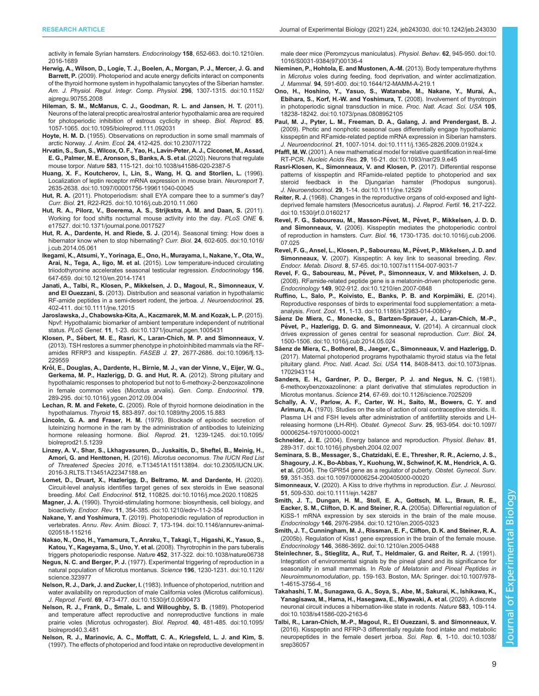<span id="page-8-0"></span>[activity in female Syrian hamsters.](https://doi.org/10.1210/en.2016-1689) Endocrinology 158, 652-663. doi:10.1210/en. [2016-1689](https://doi.org/10.1210/en.2016-1689)

- [Herwig, A., Wilson, D., Logie, T. J., Boelen, A., Morgan, P. J., Mercer, J. G. and](https://doi.org/10.1152/ajpregu.90755.2008) Barrett, P. [\(2009\). Photoperiod and acute energy deficits interact on components](https://doi.org/10.1152/ajpregu.90755.2008) [of the thyroid hormone system in hypothalamic tanycytes of the Siberian hamster.](https://doi.org/10.1152/ajpregu.90755.2008) [Am. J. Physiol. Regul. Integr. Comp. Physiol.](https://doi.org/10.1152/ajpregu.90755.2008) 296, 1307-1315. doi:10.1152/ [ajpregu.90755.2008](https://doi.org/10.1152/ajpregu.90755.2008)
- [Hileman, S. M., McManus, C. J., Goodman, R. L. and Jansen, H. T.](https://doi.org/10.1095/biolreprod.111.092031) (2011). [Neurons of the lateral preoptic area/rostral anterior hypothalamic area are required](https://doi.org/10.1095/biolreprod.111.092031) [for photoperiodic inhibition of estrous cyclicity in sheep.](https://doi.org/10.1095/biolreprod.111.092031) Biol. Reprod. 85, [1057-1065. doi:10.1095/biolreprod.111.092031](https://doi.org/10.1095/biolreprod.111.092031)
- Hoyte, H. M. D. [\(1955\). Observations on reproduction in some small mammals of](https://doi.org/10.2307/1722) arctic Norway. J. Anim. Ecol. 24[, 412-425. doi:10.2307/1722](https://doi.org/10.2307/1722)
- [Hrvatin, S., Sun, S., Wilcox, O. F., Yao, H., Lavin-Peter, A. J., Cicconet, M., Assad,](https://doi.org/10.1038/s41586-020-2387-5) [E. G., Palmer, M. E., Aronson, S., Banks, A. S. et al.](https://doi.org/10.1038/s41586-020-2387-5) (2020). Neurons that regulate mouse torpor. Nature 583[, 115-121. doi:10.1038/s41586-020-2387-5](https://doi.org/10.1038/s41586-020-2387-5)
- [Huang, X. F., Koutcherov, I., Lin, S., Wang, H. Q. and Storlien, L.](https://doi.org/10.1097/00001756-199611040-00045) (1996). [Localization of leptin receptor mRNA expression in mouse brain.](https://doi.org/10.1097/00001756-199611040-00045) Neuroreport 7, [2635-2638. doi:10.1097/00001756-199611040-00045](https://doi.org/10.1097/00001756-199611040-00045)
- Hut, R. A. [\(2011\). Photoperiodism: shall EYA compare thee to a summer](https://doi.org/10.1016/j.cub.2010.11.060)'s day? Curr. Biol. 21[, R22-R25. doi:10.1016/j.cub.2010.11.060](https://doi.org/10.1016/j.cub.2010.11.060)
- [Hut, R. A., Pilorz, V., Boerema, A. S., Strijkstra, A. M. and Daan, S.](https://doi.org/10.1371/journal.pone.0017527) (2011). [Working for food shifts nocturnal mouse activity into the day.](https://doi.org/10.1371/journal.pone.0017527) PLoS ONE 6, [e17527. doi:10.1371/journal.pone.0017527](https://doi.org/10.1371/journal.pone.0017527)
- [Hut, R. A., Dardente, H. and Riede, S. J.](https://doi.org/10.1016/j.cub.2014.05.061) (2014). Seasonal timing: How does a [hibernator know when to stop hibernating?](https://doi.org/10.1016/j.cub.2014.05.061) Curr. Biol. 24, 602-605. doi:10.1016/ [j.cub.2014.05.061](https://doi.org/10.1016/j.cub.2014.05.061)
- [Ikegami, K., Atsumi, Y., Yorinaga, E., Ono, H., Murayama, I., Nakane, Y., Ota, W.,](https://doi.org/10.1210/en.2014-1741) Arai, N., Tega, A., Iigo, M. et al. [\(2015\). Low temperature-induced circulating](https://doi.org/10.1210/en.2014-1741) [triiodothyronine accelerates seasonal testicular regression.](https://doi.org/10.1210/en.2014-1741) Endocrinology 156, [647-659. doi:10.1210/en.2014-1741](https://doi.org/10.1210/en.2014-1741)
- [Janati, A., Talbi, R., Klosen, P., Mikkelsen, J. D., Magoul, R., Simonneaux, V.](https://doi.org/10.1111/jne.12015) and El Ouezzani, S. [\(2013\). Distribution and seasonal variation in hypothalamic](https://doi.org/10.1111/jne.12015) [RF-amide peptides in a semi-desert rodent, the jerboa.](https://doi.org/10.1111/jne.12015) J. Neuroendocrinol. 25, [402-411. doi:10.1111/jne.12015](https://doi.org/10.1111/jne.12015)
- [Jaroslawska, J., Chabowska-Kita, A., Kaczmarek, M. M. and Kozak, L. P.](https://doi.org/10.1371/journal.pgen.1005431) (2015). [Npvf: Hypothalamic biomarker of ambient temperature independent of nutritional](https://doi.org/10.1371/journal.pgen.1005431) status. PLoS Genet. 11[, 1-23. doi:10.1371/journal.pgen.1005431](https://doi.org/10.1371/journal.pgen.1005431)
- Klosen, P., Sé[bert, M. E., Rasri, K., Laran-Chich, M. P. and Simonneaux, V.](https://doi.org/10.1096/fj.13-229559) [\(2013\). TSH restores a summer phenotype in photoinhibited mammals via the RF](https://doi.org/10.1096/fj.13-229559)[amides RFRP3 and kisspeptin.](https://doi.org/10.1096/fj.13-229559) FASEB J. 27, 2677-2686. doi:10.1096/fj.13- [229559](https://doi.org/10.1096/fj.13-229559)
- Kró[l, E., Douglas, A., Dardente, H., Birnie, M. J., van der Vinne, V., Eijer, W. G.,](https://doi.org/10.1016/j.ygcen.2012.09.004) [Gerkema, M. P., Hazlerigg, D. G. and Hut, R. A.](https://doi.org/10.1016/j.ygcen.2012.09.004) (2012). Strong pituitary and [hypothalamic responses to photoperiod but not to 6-methoxy-2-benzoxazolinone](https://doi.org/10.1016/j.ygcen.2012.09.004) [in female common voles \(Microtus arvalis\).](https://doi.org/10.1016/j.ygcen.2012.09.004) Gen. Comp. Endocrinol. 179, [289-295. doi:10.1016/j.ygcen.2012.09.004](https://doi.org/10.1016/j.ygcen.2012.09.004)
- Lechan, R. M. and Fekete, C. [\(2005\). Role of thyroid hormone deiodination in the](https://doi.org/10.1089/thy.2005.15.883) hypothalamus. Thyroid 15[, 883-897. doi:10.1089/thy.2005.15.883](https://doi.org/10.1089/thy.2005.15.883)
- Lincoln, G. A. and Fraser, H. M. [\(1979\). Blockade of episodic secretion of](https://doi.org/10.1095/biolreprod21.5.1239) [luteinizing hormone in the ram by the administration of antibodies to luteinizing](https://doi.org/10.1095/biolreprod21.5.1239) [hormone releasing hormone.](https://doi.org/10.1095/biolreprod21.5.1239) Biol. Reprod. 21, 1239-1245. doi:10.1095/ [biolreprod21.5.1239](https://doi.org/10.1095/biolreprod21.5.1239)
- [Linzey, A. V., Shar, S., Lkhagvasuren, D., Juskaitis, D., Sheftel, B., Meinig, H.,](https://doi.org/10.2305/IUCN.UK.2016-3.RLTS.T13451A22347188.en) [Amori, G. and Henttonen, H.](https://doi.org/10.2305/IUCN.UK.2016-3.RLTS.T13451A22347188.en) (2016). Microtus oeconomus. The IUCN Red List of Threatened Species 2016[, e.T13451A115113894. doi:10.2305/IUCN.UK.](https://doi.org/10.2305/IUCN.UK.2016-3.RLTS.T13451A22347188.en) [2016-3.RLTS.T13451A22347188.en](https://doi.org/10.2305/IUCN.UK.2016-3.RLTS.T13451A22347188.en)
- [Lomet, D., Druart, X., Hazlerigg, D., Beltramo, M. and Dardente, H.](https://doi.org/10.1016/j.mce.2020.110825) (2020). [Circuit-level analysis identifies target genes of sex steroids in Ewe seasonal](https://doi.org/10.1016/j.mce.2020.110825) breeding. Mol. Cell. Endocrinol. 512[, 110825. doi:10.1016/j.mce.2020.110825](https://doi.org/10.1016/j.mce.2020.110825)
- Magner, J. A. [\(1990\). Thyroid-stimulating hormone: biosynthesis, cell biology, and](https://doi.org/10.1210/edrv-11-2-354) bioactivity. Endocr. Rev. 11[, 354-385. doi:10.1210/edrv-11-2-354](https://doi.org/10.1210/edrv-11-2-354)
- Nakane, Y. and Yoshimura, T. [\(2019\). Photoperiodic regulation of reproduction in](https://doi.org/10.1146/annurev-animal-020518-115216) vertebrates. Annu. Rev. Anim. Biosci. 7[, 173-194. doi:10.1146/annurev-animal-](https://doi.org/10.1146/annurev-animal-020518-115216)[020518-115216](https://doi.org/10.1146/annurev-animal-020518-115216)
- [Nakao, N., Ono, H., Yamamura, T., Anraku, T., Takagi, T., Higashi, K., Yasuo, S.,](https://doi.org/10.1038/nature06738) Katou, Y., Kageyama, S., Uno, Y. et al. [\(2008\). Thyrotrophin in the pars tuberalis](https://doi.org/10.1038/nature06738) triggers photoperiodic response. Nature 452[, 317-322. doi:10.1038/nature06738](https://doi.org/10.1038/nature06738)
- Negus, N. C. and Berger, P. J. [\(1977\). Experimental triggering of reproduction in a](https://doi.org/10.1126/science.323977) [natural population of Microtus montanus.](https://doi.org/10.1126/science.323977) Science 196, 1230-1231. doi:10.1126/ [science.323977](https://doi.org/10.1126/science.323977)
- Nelson, R. J., Dark, J. and Zucker, I. [\(1983\). Influence of photoperiod, nutrition and](https://doi.org/10.1530/jrf.0.0690473) [water availability on reproduction of male California voles \(Microtus californicus\).](https://doi.org/10.1530/jrf.0.0690473) J. Reprod. Fertil. 69[, 473-477. doi:10.1530/jrf.0.0690473](https://doi.org/10.1530/jrf.0.0690473)
- [Nelson, R. J., Frank, D., Smale, L. and Willoughby, S. B.](https://doi.org/10.1095/biolreprod40.3.481) (1989). Photoperiod [and temperature affect reproductive and nonreproductive functions in male](https://doi.org/10.1095/biolreprod40.3.481) [prairie voles \(Microtus ochrogaster\).](https://doi.org/10.1095/biolreprod40.3.481) Biol. Reprod. 40, 481-485. doi:10.1095/ [biolreprod40.3.481](https://doi.org/10.1095/biolreprod40.3.481)
- [Nelson, R. J., Marinovic, A. C., Moffatt, C. A., Kriegsfeld, L. J. and Kim, S.](https://doi.org/10.1016/S0031-9384(97)00136-4) [\(1997\). The effects of photoperiod and food intake on reproductive development in](https://doi.org/10.1016/S0031-9384(97)00136-4)

[male deer mice \(Peromzycus maniculatus\).](https://doi.org/10.1016/S0031-9384(97)00136-4) Physiol. Behav. 62, 945-950. doi:10. [1016/S0031-9384\(97\)00136-4](https://doi.org/10.1016/S0031-9384(97)00136-4)

- [Nieminen, P., Hohtola, E. and Mustonen, A.-M.](https://doi.org/10.1644/12-MAMM-A-219.1) (2013). Body temperature rhythms in Microtus [voles during feeding, food deprivation, and winter acclimatization.](https://doi.org/10.1644/12-MAMM-A-219.1) J. Mammal. 94[, 591-600. doi:10.1644/12-MAMM-A-219.1](https://doi.org/10.1644/12-MAMM-A-219.1)
- [Ono, H., Hoshino, Y., Yasuo, S., Watanabe, M., Nakane, Y., Murai, A.,](https://doi.org/10.1073/pnas.0808952105) [Ebihara, S., Korf, H.-W. and Yoshimura, T.](https://doi.org/10.1073/pnas.0808952105) (2008). Involvement of thyrotropin [in photoperiodic signal transduction in mice.](https://doi.org/10.1073/pnas.0808952105) Proc. Natl. Acad. Sci. USA 105, [18238-18242. doi:10.1073/pnas.0808952105](https://doi.org/10.1073/pnas.0808952105)
- [Paul, M. J., Pyter, L. M., Freeman, D. A., Galang, J. and Prendergast, B. J.](https://doi.org/10.1111/j.1365-2826.2009.01924.x) [\(2009\). Photic and nonphotic seasonal cues differentially engage hypothalamic](https://doi.org/10.1111/j.1365-2826.2009.01924.x) [kisspeptin and RFamide-related peptide mRNA expression in Siberian hamsters.](https://doi.org/10.1111/j.1365-2826.2009.01924.x) J. Neuroendocrinol. 21[, 1007-1014. doi:10.1111/j.1365-2826.2009.01924.x](https://doi.org/10.1111/j.1365-2826.2009.01924.x)
- Pfaffl, M. W. [\(2001\). A new mathematical model for relative quantification in real-time](https://doi.org/10.1093/nar/29.9.e45) RT-PCR. Nucleic Acids Res. 29[, 16-21. doi:10.1093/nar/29.9.e45](https://doi.org/10.1093/nar/29.9.e45)
- [Rasri-Klosen, K., Simonneaux, V. and Klosen, P.](https://doi.org/10.1111/jne.12529) (2017). Differential response [patterns of kisspeptin and RFamide-related peptide to photoperiod and sex](https://doi.org/10.1111/jne.12529) [steroid feedback in the Djungarian hamster \(Phodopus sungorus\).](https://doi.org/10.1111/jne.12529) J. Neuroendocrinol. 29[, 1-14. doi:10.1111/jne.12529](https://doi.org/10.1111/jne.12529)
- Reiter, R. J. [\(1968\). Changes in the reproductive organs of cold-exposed and light](https://doi.org/10.1530/jrf.0.0160217)[deprived female hamsters \(Mesocricetus auratus\).](https://doi.org/10.1530/jrf.0.0160217) J. Reprod. Fertil. 16, 217-222. [doi:10.1530/jrf.0.0160217](https://doi.org/10.1530/jrf.0.0160217)
- Revel, F. G., Saboureau, M., Masson-Pévet, M., Pévet, P., Mikkelsen, J. D. D. and Simonneaux, V. [\(2006\). Kisspeptin mediates the photoperiodic control](https://doi.org/10.1016/j.cub.2006.07.025) of reproduction in hamsters. Curr. Biol. 16[, 1730-1735. doi:10.1016/j.cub.2006.](https://doi.org/10.1016/j.cub.2006.07.025) [07.025](https://doi.org/10.1016/j.cub.2006.07.025)
- Revel, F. G., Ansel, L., Klosen, P., Saboureau, M., Pévet, P., Mikkelsen, J. D. and Simonneaux, V. [\(2007\). Kisspeptin: A key link to seasonal breeding.](https://doi.org/10.1007/s11154-007-9031-7) Rev. Endocr. Metab. Disord. 8[, 57-65. doi:10.1007/s11154-007-9031-7](https://doi.org/10.1007/s11154-007-9031-7)
- Revel, F. G., Saboureau, M., Pé[vet, P., Simonneaux, V. and Mikkelsen, J. D.](https://doi.org/10.1210/en.2007-0848) [\(2008\). RFamide-related peptide gene is a melatonin-driven photoperiodic gene.](https://doi.org/10.1210/en.2007-0848) Endocrinology 149[, 902-912. doi:10.1210/en.2007-0848](https://doi.org/10.1210/en.2007-0848)
- Ruffino, L., Salo, P., Koivisto, E., Banks, P. B. and Korpimäki, E. (2014). [Reproductive responses of birds to experimental food supplementation: a meta](https://doi.org/10.1186/s12983-014-0080-y)analysis. Front. Zool. 11[, 1-13. doi:10.1186/s12983-014-0080-y](https://doi.org/10.1186/s12983-014-0080-y)
- Sá[enz De Miera, C., Monecke, S., Bartzen-Sprauer, J., Laran-Chich, M.-P.,](https://doi.org/10.1016/j.cub.2014.05.024) Pé[vet, P., Hazlerigg, D. G. and Simonneaux, V.](https://doi.org/10.1016/j.cub.2014.05.024) (2014). A circannual clock [drives expression of genes central for seasonal reproduction.](https://doi.org/10.1016/j.cub.2014.05.024) Curr. Biol. 24, [1500-1506. doi:10.1016/j.cub.2014.05.024](https://doi.org/10.1016/j.cub.2014.05.024)
- Sá[enz de Miera, C., Bothorel, B., Jaeger, C., Simonneaux, V. and Hazlerigg, D.](https://doi.org/10.1073/pnas.1702943114) [\(2017\). Maternal photoperiod programs hypothalamic thyroid status via the fetal](https://doi.org/10.1073/pnas.1702943114) pituitary gland. Proc. Natl. Acad. Sci. USA 114[, 8408-8413. doi:10.1073/pnas.](https://doi.org/10.1073/pnas.1702943114) [1702943114](https://doi.org/10.1073/pnas.1702943114)
- [Sanders, E. H., Gardner, P. D., Berger, P. J. and Negus, N. C.](https://doi.org/10.1126/science.7025209) (1981). [6-methoxybenzoxazolinone: a plant derivative that stimulates reproduction in](https://doi.org/10.1126/science.7025209) Microtus montanus. Science 214[, 67-69. doi:10.1126/science.7025209](https://doi.org/10.1126/science.7025209)
- [Schally, A. V., Parlow, A. F., Carter, W. H., Saito, M., Bowers, C. Y. and](https://doi.org/10.1097/00006254-197010000-00021) Arimura, A. [\(1970\). Studies on the site of action of oral contraceptive steroids. II.](https://doi.org/10.1097/00006254-197010000-00021) [Plasma LH and FSH levels after administration of antifertility steroids and LH](https://doi.org/10.1097/00006254-197010000-00021)[releasing hormone \(LH-RH\).](https://doi.org/10.1097/00006254-197010000-00021) Obstet. Gynecol. Surv. 25, 953-954. doi:10.1097/ [00006254-197010000-00021](https://doi.org/10.1097/00006254-197010000-00021)
- Schneider, J. E. [\(2004\). Energy balance and reproduction.](https://doi.org/10.1016/j.physbeh.2004.02.007) Physiol. Behav. 81, [289-317. doi:10.1016/j.physbeh.2004.02.007](https://doi.org/10.1016/j.physbeh.2004.02.007)
- [Seminara, S. B., Messager, S., Chatzidaki, E. E., Thresher, R. R., Acierno, J. S.,](https://doi.org/10.1097/00006254-200405000-00020) [Shagoury, J. K., Bo-Abbas, Y., Kuohung, W., Schwinof, K. M., Hendrick, A. G.](https://doi.org/10.1097/00006254-200405000-00020) et al. [\(2004\). The GPR54 gene as a regulator of puberty.](https://doi.org/10.1097/00006254-200405000-00020) Obstet. Gynecol. Surv. 59[, 351-353. doi:10.1097/00006254-200405000-00020](https://doi.org/10.1097/00006254-200405000-00020)
- Simonneaux, V. [\(2020\). A Kiss to drive rhythms in reproduction.](https://doi.org/10.1111/ejn.14287) Eur. J. Neurosci. 51[, 509-530. doi:10.1111/ejn.14287](https://doi.org/10.1111/ejn.14287)
- [Smith, J. T., Dungan, H. M., Stoll, E. A., Gottsch, M. L., Braun, R. E.,](https://doi.org/10.1210/en.2005-0323) [Eacker, S. M., Clifton, D. K. and Steiner, R. A.](https://doi.org/10.1210/en.2005-0323) (2005a). Differential regulation of [KiSS-1 mRNA expression by sex steroids in the brain of the male mouse.](https://doi.org/10.1210/en.2005-0323) Endocrinology 146[, 2976-2984. doi:10.1210/en.2005-0323](https://doi.org/10.1210/en.2005-0323)
- [Smith, J. T., Cunningham, M. J., Rissman, E. F., Clifton, D. K. and Steiner, R. A.](https://doi.org/10.1210/en.2005-0488) [\(2005b\). Regulation of Kiss1 gene expression in the brain of the female mouse.](https://doi.org/10.1210/en.2005-0488) Endocrinology 146[, 3686-3692. doi:10.1210/en.2005-0488](https://doi.org/10.1210/en.2005-0488)
- [Steinlechner, S., Stieglitz, A., Ruf, T., Heldmaier, G. and Reiter, R. J.](https://doi.org/10.1007/978-1-4615-3756-4_16) (1991). [Integration of environmental signals by the pineal gland and its significance for](https://doi.org/10.1007/978-1-4615-3756-4_16) seasonality in small mammals. In [Role of Melatonin and Pineal Peptides in](https://doi.org/10.1007/978-1-4615-3756-4_16) Neuroimmunomodulation[, pp. 159-163. Boston, MA: Springer. doi:10.1007/978-](https://doi.org/10.1007/978-1-4615-3756-4_16) [1-4615-3756-4\\_16](https://doi.org/10.1007/978-1-4615-3756-4_16)
- [Takahashi, T. M., Sunagawa, G. A., Soya, S., Abe, M., Sakurai, K., Ishikawa, K.,](https://doi.org/10.1038/s41586-020-2163-6) [Yanagisawa, M., Hama, H., Hasegawa, E., Miyawaki, A. et al.](https://doi.org/10.1038/s41586-020-2163-6) (2020). A discrete [neuronal circuit induces a hibernation-like state in rodents.](https://doi.org/10.1038/s41586-020-2163-6) Nature 583, 109-114. [doi:10.1038/s41586-020-2163-6](https://doi.org/10.1038/s41586-020-2163-6)
- [Talbi, R., Laran-Chich, M.-P., Magoul, R., El Ouezzani, S. and Simonneaux, V.](https://doi.org/10.1038/srep36057) [\(2016\). Kisspeptin and RFRP-3 differentially regulate food intake and metabolic](https://doi.org/10.1038/srep36057) [neuropeptides in the female desert jerboa.](https://doi.org/10.1038/srep36057) Sci. Rep. 6, 1-10. doi:10.1038/ [srep36057](https://doi.org/10.1038/srep36057)